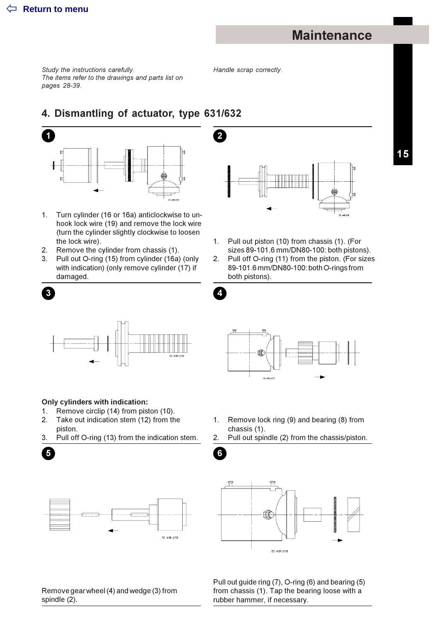# **Maintenance**

Study the instructions carefully. The items refer to the drawings and parts list on pages 28-39.

Handle scrap correctly.

 $\overline{2}$ 

Δ

 $6\phantom{a}6$ 

### 4. Dismantling of actuator, type 631/632



- Turn cylinder (16 or 16a) anticlockwise to un- $1.$ hook lock wire (19) and remove the lock wire (turn the cylinder slightly clockwise to loosen the lock wire).
- $2<sup>1</sup>$ Remove the cylinder from chassis (1).
- 3. Pull out O-ring (15) from cylinder (16a) (only with indication) (only remove cylinder (17) if damaged.



- Pull out piston (10) from chassis (1). (For  $1<sub>1</sub>$ sizes 89-101.6 mm/DN80-100: both pistons).  $2.$ Pull off O-ring (11) from the piston. (For sizes
- 89-101.6 mm/DN80-100: both O-rings from both pistons).



 $\overline{\mathbf{5}}$ 





#### Only cylinders with indication:

- 1. Remove circlip (14) from piston (10).
- $2.$ Take out indication stem (12) from the piston.
- Pull off O-ring (13) from the indication stem. 3.



- $1.$ Remove lock ring (9) and bearing (8) from chassis (1).
- 2. Pull out spindle (2) from the chassis/piston.



Remove gear wheel (4) and wedge (3) from spindle (2).

Pull out guide ring (7), O-ring (6) and bearing (5) from chassis (1). Tap the bearing loose with a rubber hammer, if necessary.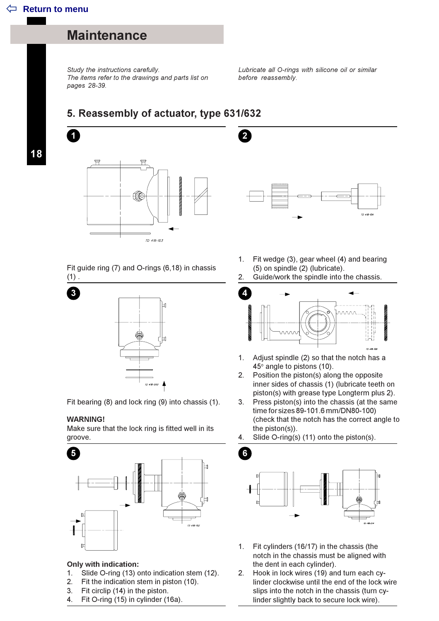## **Maintenance**

Study the instructions carefully. The items refer to the drawings and parts list on pages 28-39.

Lubricate all O-rings with silicone oil or similar before reassembly.

### 5. Reassembly of actuator, type 631/632

 $ID = 418 - 103$ 

Fit guide ring (7) and O-rings (6,18) in chassis  $(1)$ .



Fit bearing (8) and lock ring (9) into chassis (1).

#### **WARNING!**

Make sure that the lock ring is fitted well in its groove.



#### **Only with indication:**

- Slide O-ring (13) onto indication stem (12).  $1<sub>1</sub>$
- Fit the indication stem in piston (10).  $2<sup>1</sup>$
- Fit circlip (14) in the piston.  $3.$
- 4. Fit O-ring (15) in cylinder (16a).



- Fit wedge (3), gear wheel (4) and bearing  $1.$ (5) on spindle (2) (lubricate).
- $2.$ Guide/work the spindle into the chassis.



- Adjust spindle (2) so that the notch has a  $1.$ 45° angle to pistons (10).
- 2. Position the piston(s) along the opposite inner sides of chassis (1) (lubricate teeth on piston(s) with grease type Longterm plus 2).
- 3. Press piston(s) into the chassis (at the same time for sizes 89-101.6 mm/DN80-100) (check that the notch has the correct angle to the piston $(s)$ ).

Slide O-ring(s) (11) onto the piston(s). 4



- Fit cylinders (16/17) in the chassis (the  $1<sup>1</sup>$ notch in the chassis must be aligned with the dent in each cylinder).
- Hook in lock wires (19) and turn each cv- $2.$ linder clockwise until the end of the lock wire slips into the notch in the chassis (turn cylinder slightly back to secure lock wire).

18

 $\overline{1}$ 

3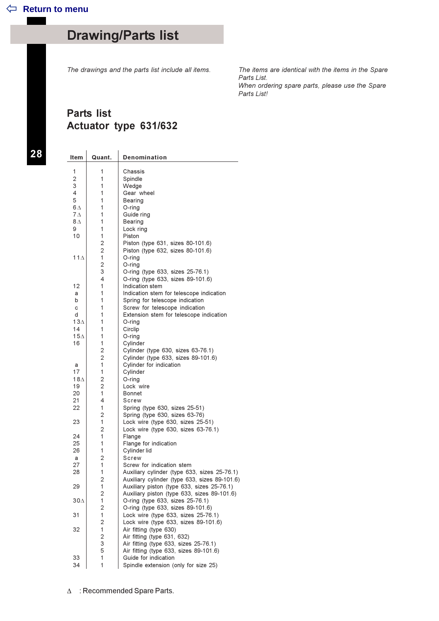# **Drawing/Parts list**

The drawings and the parts list include all items.

The items are identical with the items in the Spare Parts List. When ordering spare parts, please use the Spare Parts List!

### **Parts list** Actuator type 631/632

28

| ltem        | Quant.         | Denomination                                                   |
|-------------|----------------|----------------------------------------------------------------|
| 1           | 1              | Chassis                                                        |
| 2           | 1              | Spindle                                                        |
| 3           | 1              | Wedge                                                          |
| 4           | 1              | Gear wheel                                                     |
| 5           | 1              | Bearing                                                        |
| $6\wedge$   | 1              | O-ring                                                         |
| $7\Delta$   | 1              | Guide ring                                                     |
| $8\Lambda$  | 1              | Bearing                                                        |
| 9           | 1              | Lock ring                                                      |
| 10          | 1              | Piston                                                         |
|             | $\overline{2}$ | Piston (type 631, sizes 80-101.6)                              |
|             | $\overline{2}$ | Piston (type 632, sizes 80-101.6)                              |
| 11 $\Delta$ | 1              | O-ring                                                         |
|             | 2              | O-ring                                                         |
|             | 3<br>4         | O-ring (type 633, sizes 25-76.1)                               |
| 12          | 1              | O-ring (type 633, sizes 89-101.6)<br>Indication stem           |
| a           | 1              | Indication stem for telescope indication                       |
| b           | 1              | Spring for telescope indication                                |
| с           | 1              | Screw for telescope indication                                 |
| d           | 1              | Extension stem for telescope indication                        |
| $13\Lambda$ | 1              | $O$ -ring                                                      |
| 14          | 1              | Circlip                                                        |
| 15∆         | 1              | $O$ -ring                                                      |
| 16          | 1              | Cylinder                                                       |
|             | $\overline{2}$ | Cylinder (type 630, sizes 63-76.1)                             |
|             | $\overline{2}$ | Cylinder (type 633, sizes 89-101.6)                            |
| a<br>17     | 1<br>1         | Cylinder for indication                                        |
| 18∆         | $\overline{2}$ | Cylinder<br>O-ring                                             |
| 19          | 2              | Lock wire                                                      |
| 20          | 1              | Bonnet                                                         |
| 21          | 4              | Screw                                                          |
| 22          | 1              | Spring (type 630, sizes 25-51)                                 |
|             | 2              | Spring (type 630, sizes 63-76)                                 |
| 23          | 1              | Lock wire (type 630, sizes 25-51)                              |
|             | 2              | Lock wire (type 630, sizes 63-76.1)                            |
| 24          | 1              | Flange                                                         |
| 25          | 1              | Flange for indication                                          |
| 26          | 1              | Cylinder lid                                                   |
| a<br>27     | 2<br>1         | Screw<br>Screw for indication stem                             |
| 28          | 1              | Auxiliary cylinder (type 633, sizes 25-76.1)                   |
|             | 2              | Auxiliary cylinder (type 633, sizes 89-101.6)                  |
| 29          | 1              | Auxiliary piston (type 633, sizes 25-76.1)                     |
|             | 2              | Auxiliary piston (type 633, sizes 89-101.6)                    |
| 30Д         | 1              | O-ring (type 633, sizes 25-76.1)                               |
|             | $\overline{c}$ | O-ring (type 633, sizes 89-101.6)                              |
| 31          | $\mathbf{1}$   | Lock wire (type 633, sizes 25-76.1)                            |
|             | $\overline{2}$ | Lock wire (type 633, sizes 89-101.6)                           |
| 32          | $\mathbf{1}$   | Air fitting (type 630)                                         |
|             | 2              | Air fitting (type 631, 632)                                    |
|             | 3<br>5         | Air fitting (type 633, sizes 25-76.1)                          |
| 33          | 1              | Air fitting (type 633, sizes 89-101.6)<br>Guide for indication |
| 34          | 1              | Spindle extension (only for size 25)                           |
|             |                |                                                                |